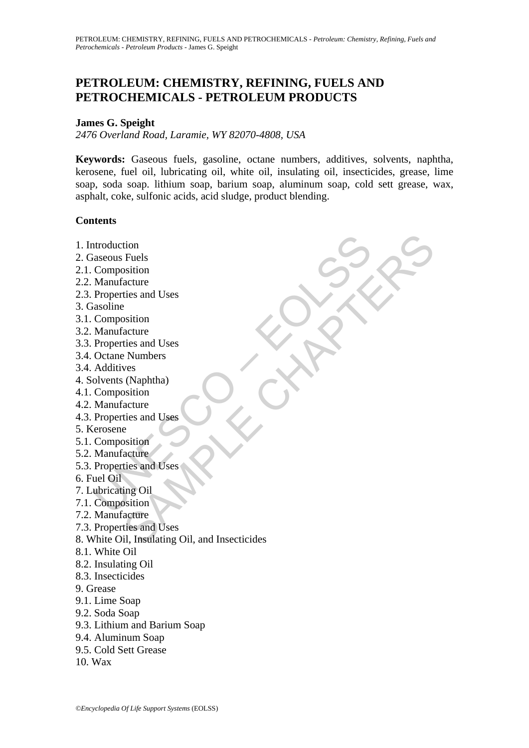# **PETROLEUM: CHEMISTRY, REFINING, FUELS AND PETROCHEMICALS - PETROLEUM PRODUCTS**

#### **James G. Speight**

*2476 Overland Road, Laramie, WY 82070-4808, USA* 

**Keywords:** Gaseous fuels, gasoline, octane numbers, additives, solvents, naphtha, kerosene, fuel oil, lubricating oil, white oil, insulating oil, insecticides, grease, lime soap, soda soap. lithium soap, barium soap, aluminum soap, cold sett grease, wax, asphalt, coke, sulfonic acids, acid sludge, product blending.

#### **Contents**

ntroduction<br>
iaseous Fuels<br>
Composition<br>
Manufacture<br>
Properties and Uses<br>
Composition<br>
Manufacture<br>
Properties and Uses<br>
Octane Numbers<br>
Additives<br>
Composition<br>
Manufacture<br>
Properties and Uses<br>
Composition<br>
Manufacture<br> tion<br>
Fuels<br>
Sosition<br>
acture<br>
ties and Uses<br>
P. Numbers<br>
Sosition<br>
Sosition<br>
Sosition<br>
Chappitha)<br>
Sosition<br>
Chaptha)<br>
Sosition<br>
Cacture<br>
ties and Uses<br>
ing Oil<br>
saiture<br>
ties and Uses<br>
ing Oil<br>
saiture<br>
ties and Uses<br>
il 1. Introduction 2. Gaseous Fuels 2.1. Composition 2.2. Manufacture 2.3. Properties and Uses 3. Gasoline 3.1. Composition 3.2. Manufacture 3.3. Properties and Uses 3.4. Octane Numbers 3.4. Additives 4. Solvents (Naphtha) 4.1. Composition 4.2. Manufacture 4.3. Properties and Uses 5. Kerosene 5.1. Composition 5.2. Manufacture 5.3. Properties and Uses 6. Fuel Oil 7. Lubricating Oil 7.1. Composition 7.2. Manufacture 7.3. Properties and Uses 8. White Oil, Insulating Oil, and Insecticides 8.1. White Oil 8.2. Insulating Oil 8.3. Insecticides 9. Grease 9.1. Lime Soap 9.2. Soda Soap 9.3. Lithium and Barium Soap 9.4. Aluminum Soap 9.5. Cold Sett Grease 10. Wax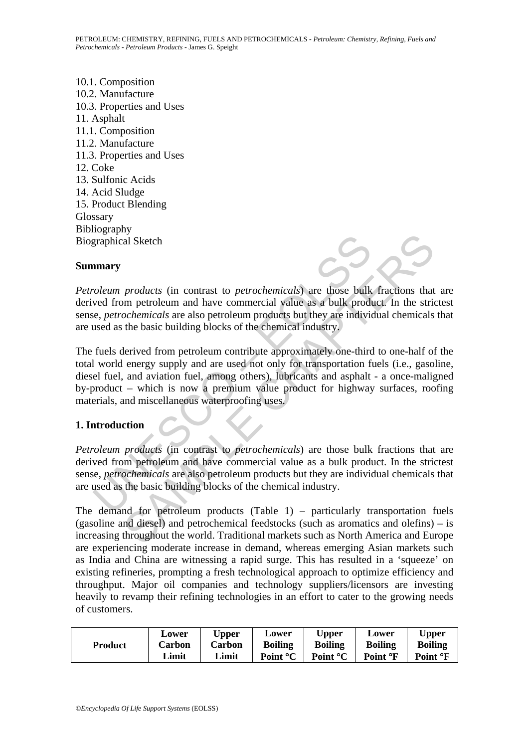10.1. Composition 10.2. Manufacture 10.3. Properties and Uses 11. Asphalt 11.1. Composition 11.2. Manufacture 11.3. Properties and Uses 12. Coke 13. Sulfonic Acids 14. Acid Sludge 15. Product Blending **Glossary** Bibliography Biographical Sketch

#### **Summary**



*Petroleum products* (in contrast to *petrochemicals*) are those bulk fractions that are derived from petroleum and have commercial value as a bulk product. In the strictest sense, *petrochemicals* are also petroleum products but they are individual chemicals that are used as the basic building blocks of the chemical industry.

praphical Sketch<br>
manry<br>
coleum products (in contrast to *petrochemicals*) are those bulk<br>
ved from petroleum and have commercial value as a bulk produce,<br>
e, *petrochemicals* are also petroleum products but they are indiv The State of the contrast to *petrochemicals*) are those bulk fractions that<br>m petroleum and have commercial value as a bulk product. In the stric-<br>*ochemicals* are also petroleum products but they are individual chemicals The fuels derived from petroleum contribute approximately one-third to one-half of the total world energy supply and are used not only for transportation fuels (i.e., gasoline, diesel fuel, and aviation fuel, among others), lubricants and asphalt - a once-maligned by-product – which is now a premium value product for highway surfaces, roofing materials, and miscellaneous waterproofing uses.

## **1. Introduction**

*Petroleum products* (in contrast to *petrochemicals*) are those bulk fractions that are derived from petroleum and have commercial value as a bulk product. In the strictest sense, *petrochemicals* are also petroleum products but they are individual chemicals that are used as the basic building blocks of the chemical industry.

The demand for petroleum products (Table 1) – particularly transportation fuels (gasoline and diesel) and petrochemical feedstocks (such as aromatics and olefins) – is increasing throughout the world. Traditional markets such as North America and Europe are experiencing moderate increase in demand, whereas emerging Asian markets such as India and China are witnessing a rapid surge. This has resulted in a 'squeeze' on existing refineries, prompting a fresh technological approach to optimize efficiency and throughput. Major oil companies and technology suppliers/licensors are investing heavily to revamp their refining technologies in an effort to cater to the growing needs of customers.

| <b>Product</b> | Lower<br>Carbon | Upper<br>Carbon | Lower<br><b>Boiling</b> | <b>Upper</b><br><b>Boiling</b> | Lower<br><b>Boiling</b> | Upper<br><b>Boiling</b> |
|----------------|-----------------|-----------------|-------------------------|--------------------------------|-------------------------|-------------------------|
|                | Limit           | Limit           | Point ${}^{\circ}C$     | Point <sup>o</sup> C           | Point <sup>o</sup> F    | Point <sup>o</sup> F    |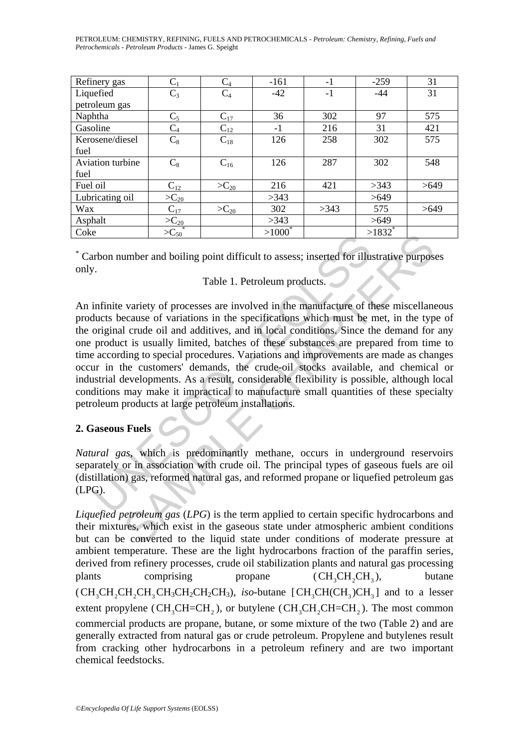| Refinery gas     | $C_1$                     | $C_4$     | $-161$    | $-1$ | $-259$               | 31   |
|------------------|---------------------------|-----------|-----------|------|----------------------|------|
| Liquefied        | $C_3$                     | $C_4$     | $-42$     | $-1$ | $-44$                | 31   |
| petroleum gas    |                           |           |           |      |                      |      |
| Naphtha          | $C_5$                     | $C_{17}$  | 36        | 302  | 97                   | 575  |
| Gasoline         | $C_4$                     | $C_{12}$  | $-1$      | 216  | 31                   | 421  |
| Kerosene/diesel  | $C_8$                     | $C_{18}$  | 126       | 258  | 302                  | 575  |
| fuel             |                           |           |           |      |                      |      |
| Aviation turbine | $C_8$                     | $C_{16}$  | 126       | 287  | 302                  | 548  |
| fuel             |                           |           |           |      |                      |      |
| Fuel oil         | $C_{12}$                  | $>C_{20}$ | 216       | 421  | >343                 | >649 |
| Lubricating oil  | $>C_{20}$                 |           | >343      |      | >649                 |      |
| Wax              | $C_{17}$                  | $>C_{20}$ | 302       | >343 | 575                  | >649 |
| Asphalt          |                           |           | >343      |      | >649                 |      |
| Coke             | $\frac{>C_{20}}{>C_{50}}$ |           | $>1000^*$ |      | $>1832$ <sup>*</sup> |      |

\* Carbon number and boiling point difficult to assess; inserted for illustrative purposes only.

Table 1. Petroleum products.

The main of the same of the same of the same of the same of the same of the same of the same of thucts because of variations in the specifications which must be original crude oil and additives, and in local conditions. S  $\frac{3632}{1632}$ <br>
umber and boiling point difficult to assess; inserted for illustrative purpos<br>
Table 1. Petroleum products.<br>
variety of processes are involved in the manufacture of these miscellane<br>
cecause of variations An infinite variety of processes are involved in the manufacture of these miscellaneous products because of variations in the specifications which must be met, in the type of the original crude oil and additives, and in local conditions. Since the demand for any one product is usually limited, batches of these substances are prepared from time to time according to special procedures. Variations and improvements are made as changes occur in the customers' demands, the crude-oil stocks available, and chemical or industrial developments. As a result, considerable flexibility is possible, although local conditions may make it impractical to manufacture small quantities of these specialty petroleum products at large petroleum installations.

## **2. Gaseous Fuels**

*Natural gas*, which is predominantly methane, occurs in underground reservoirs separately or in association with crude oil. The principal types of gaseous fuels are oil (distillation) gas, reformed natural gas, and reformed propane or liquefied petroleum gas (LPG).

*Liquefied petroleum gas* (*LPG*) is the term applied to certain specific hydrocarbons and their mixtures, which exist in the gaseous state under atmospheric ambient conditions but can be converted to the liquid state under conditions of moderate pressure at ambient temperature. These are the light hydrocarbons fraction of the paraffin series, derived from refinery processes, crude oil stabilization plants and natural gas processing plants comprising propane  $(CH<sub>3</sub>CH<sub>3</sub>CH<sub>3</sub>)$ , butane  $(CH_3CH_2CH_3CH_2CH_2CH_3)$ , *iso*-butane  $[CH_3CH_3CH_3]$  and to a lesser extent propylene ( $CH_3CH=CH_2$ ), or butylene ( $CH_3CH=CH_2$ ). The most common commercial products are propane, butane, or some mixture of the two (Table 2) and are generally extracted from natural gas or crude petroleum. Propylene and butylenes result from cracking other hydrocarbons in a petroleum refinery and are two important chemical feedstocks.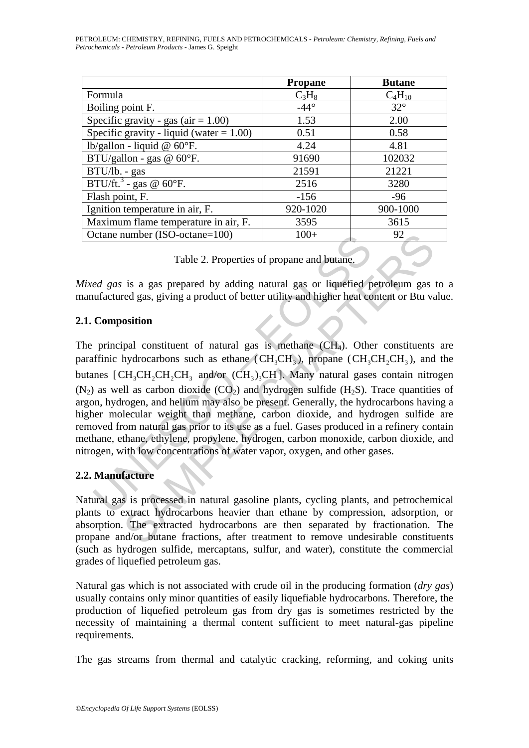|                                              | <b>Propane</b> | <b>Butane</b> |
|----------------------------------------------|----------------|---------------|
| Formula                                      | $C_3H_8$       | $C_4H_{10}$   |
| Boiling point F.                             | $-44^\circ$    | $32^\circ$    |
| Specific gravity - gas ( $air = 1.00$ )      | 1.53           | 2.00          |
| Specific gravity - liquid (water $= 1.00$ )  | 0.51           | 0.58          |
| lb/gallon - liquid @ 60°F.                   | 4.24           | 4.81          |
| BTU/gallon - gas @ $60^{\circ}$ F.           | 91690          | 102032        |
| BTU/lb. - gas                                | 21591          | 21221         |
| BTU/ft. <sup>3</sup> - gas @ $60^{\circ}$ F. | 2516           | 3280          |
| Flash point, F.                              | $-156$         | $-96$         |
| Ignition temperature in air, F.              | 920-1020       | 900-1000      |
| Maximum flame temperature in air, F.         | 3595           | 3615          |
| Octane number (ISO-octane=100)               | $100+$         | 92            |

|  | Table 2. Properties of propane and butane. |  |  |
|--|--------------------------------------------|--|--|
|--|--------------------------------------------|--|--|

*Mixed gas* is a gas prepared by adding natural gas or liquefied petroleum gas to a manufactured gas, giving a product of better utility and higher heat content or Btu value.

## **2.1. Composition**

Criane number (ISO-octane=100) 100+<br>
Table 2. Properties of propane and butane.<br> *ed gas* is a gas prepared by adding natural gas or liquefied pufactured gas, giving a product of better utility and higher heat co<br> **Compos** mumber (ISO-octane=100)  $100+$ <br>
Table 2. Properties of propane and butane.<br>
is a gas prepared by adding natural gas or liquefied petroleum gas<br>
eed gas, giving a product of better utility and higher heat content or Bu ve<br> The principal constituent of natural gas is methane (CH4). Other constituents are paraffinic hydrocarbons such as ethane  $(CH<sub>3</sub>CH<sub>3</sub>)$ , propane  $(CH<sub>3</sub>CH<sub>3</sub>CH<sub>3</sub>)$ , and the butanes  $[CH<sub>3</sub>CH<sub>3</sub>CH<sub>3</sub> and/or (CH<sub>3</sub>)<sub>3</sub>CH]$ . Many natural gases contain nitrogen  $(N_2)$  as well as carbon dioxide  $(CO_2)$  and hydrogen sulfide  $(H_2S)$ . Trace quantities of argon, hydrogen, and helium may also be present. Generally, the hydrocarbons having a higher molecular weight than methane, carbon dioxide, and hydrogen sulfide are removed from natural gas prior to its use as a fuel. Gases produced in a refinery contain methane, ethane, ethylene, propylene, hydrogen, carbon monoxide, carbon dioxide, and nitrogen, with low concentrations of water vapor, oxygen, and other gases.

## **2.2. Manufacture**

Natural gas is processed in natural gasoline plants, cycling plants, and petrochemical plants to extract hydrocarbons heavier than ethane by compression, adsorption, or absorption. The extracted hydrocarbons are then separated by fractionation. The propane and/or butane fractions, after treatment to remove undesirable constituents (such as hydrogen sulfide, mercaptans, sulfur, and water), constitute the commercial grades of liquefied petroleum gas.

Natural gas which is not associated with crude oil in the producing formation (*dry gas*) usually contains only minor quantities of easily liquefiable hydrocarbons. Therefore, the production of liquefied petroleum gas from dry gas is sometimes restricted by the necessity of maintaining a thermal content sufficient to meet natural-gas pipeline requirements.

The gas streams from thermal and catalytic cracking, reforming, and coking units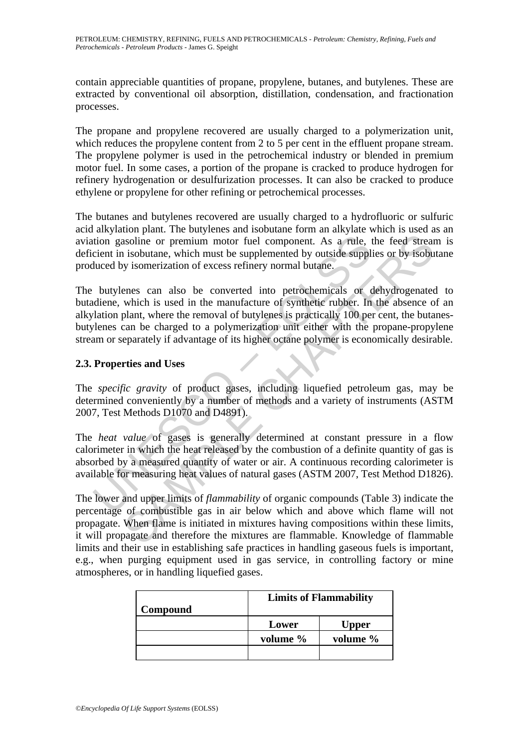contain appreciable quantities of propane, propylene, butanes, and butylenes. These are extracted by conventional oil absorption, distillation, condensation, and fractionation processes.

The propane and propylene recovered are usually charged to a polymerization unit, which reduces the propylene content from 2 to 5 per cent in the effluent propane stream. The propylene polymer is used in the petrochemical industry or blended in premium motor fuel. In some cases, a portion of the propane is cracked to produce hydrogen for refinery hydrogenation or desulfurization processes. It can also be cracked to produce ethylene or propylene for other refining or petrochemical processes.

The butanes and butylenes recovered are usually charged to a hydrofluoric or sulfuric acid alkylation plant. The butylenes and isobutane form an alkylate which is used as an aviation gasoline or premium motor fuel component. As a rule, the feed stream is deficient in isobutane, which must be supplemented by outside supplies or by isobutane produced by isomerization of excess refinery normal butane.

tion gasoline or premium motor fuel component. As a rule, the cient in isobutane, which must be supplemented by outside suppl<br>luced by isomerization of excess refinery normal butane.<br>butylenes can also be converted into p asoline or premium motor fuel component. As a rule, the feed stream<br>isobitae, which must be supplemented by outside supplies or by isobu<br>isobitane, which must be supplemented by outside supplies or by isobu<br>plant, where th The butylenes can also be converted into petrochemicals or dehydrogenated to butadiene, which is used in the manufacture of synthetic rubber. In the absence of an alkylation plant, where the removal of butylenes is practically 100 per cent, the butanesbutylenes can be charged to a polymerization unit either with the propane-propylene stream or separately if advantage of its higher octane polymer is economically desirable.

## **2.3. Properties and Uses**

The *specific gravity* of product gases, including liquefied petroleum gas, may be determined conveniently by a number of methods and a variety of instruments (ASTM 2007, Test Methods D1070 and D4891).

The *heat value* of gases is generally determined at constant pressure in a flow calorimeter in which the heat released by the combustion of a definite quantity of gas is absorbed by a measured quantity of water or air. A continuous recording calorimeter is available for measuring heat values of natural gases (ASTM 2007, Test Method D1826).

The lower and upper limits of *flammability* of organic compounds (Table 3) indicate the percentage of combustible gas in air below which and above which flame will not propagate. When flame is initiated in mixtures having compositions within these limits, it will propagate and therefore the mixtures are flammable. Knowledge of flammable limits and their use in establishing safe practices in handling gaseous fuels is important, e.g., when purging equipment used in gas service, in controlling factory or mine atmospheres, or in handling liquefied gases.

| Compound | <b>Limits of Flammability</b> |              |  |
|----------|-------------------------------|--------------|--|
|          | Lower                         | <b>Upper</b> |  |
|          | volume %                      | volume %     |  |
|          |                               |              |  |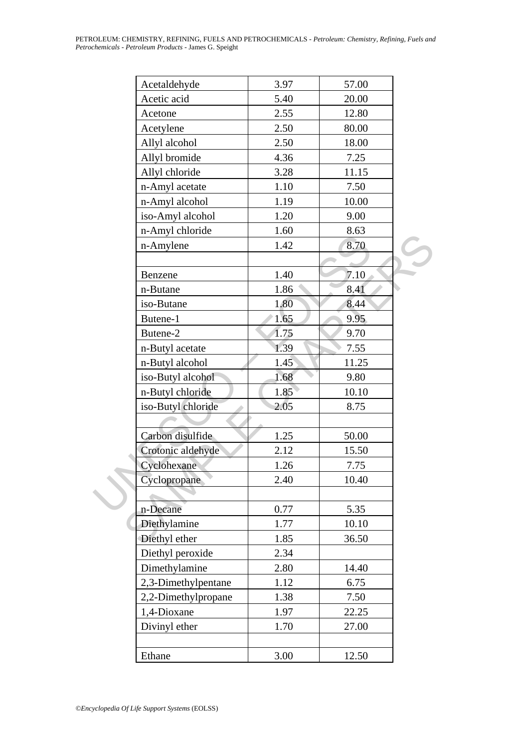| Acetaldehyde        | 3.97 | 57.00 |  |
|---------------------|------|-------|--|
| Acetic acid         | 5.40 | 20.00 |  |
| Acetone             | 2.55 | 12.80 |  |
| Acetylene           | 2.50 | 80.00 |  |
| Allyl alcohol       | 2.50 | 18.00 |  |
| Allyl bromide       | 4.36 | 7.25  |  |
| Allyl chloride      | 3.28 | 11.15 |  |
| n-Amyl acetate      | 1.10 | 7.50  |  |
| n-Amyl alcohol      | 1.19 | 10.00 |  |
| iso-Amyl alcohol    | 1.20 | 9.00  |  |
| n-Amyl chloride     | 1.60 | 8.63  |  |
| n-Amylene           | 1.42 | 8.70  |  |
|                     |      |       |  |
| Benzene             | 1.40 | 7.10  |  |
| n-Butane            | 1.86 | 8,41  |  |
| iso-Butane          | 1.80 | 8.44  |  |
| Butene-1            | 1.65 | 9.95  |  |
| Butene-2            | 1.75 | 9.70  |  |
| n-Butyl acetate     | 1.39 | 7.55  |  |
| n-Butyl alcohol     | 1.45 | 11.25 |  |
| iso-Butyl alcohol   | 1.68 | 9.80  |  |
| n-Butyl chloride    | 1.85 | 10.10 |  |
| iso-Butyl chloride  | 2.05 | 8.75  |  |
|                     |      |       |  |
| Carbon disulfide    | 1.25 | 50.00 |  |
| Crotonic aldehyde   | 2.12 | 15.50 |  |
| Cyclohexane         | 1.26 | 7.75  |  |
| Cyclopropane        | 2.40 | 10.40 |  |
|                     |      |       |  |
| n-Decane            | 0.77 | 5.35  |  |
| Diethylamine        | 1.77 | 10.10 |  |
| Diethyl ether       | 1.85 | 36.50 |  |
| Diethyl peroxide    | 2.34 |       |  |
| Dimethylamine       | 2.80 | 14.40 |  |
| 2,3-Dimethylpentane | 1.12 | 6.75  |  |
| 2,2-Dimethylpropane | 1.38 | 7.50  |  |
| 1,4-Dioxane         | 1.97 | 22.25 |  |
| Divinyl ether       | 1.70 | 27.00 |  |
|                     |      |       |  |
| Ethane              | 3.00 | 12.50 |  |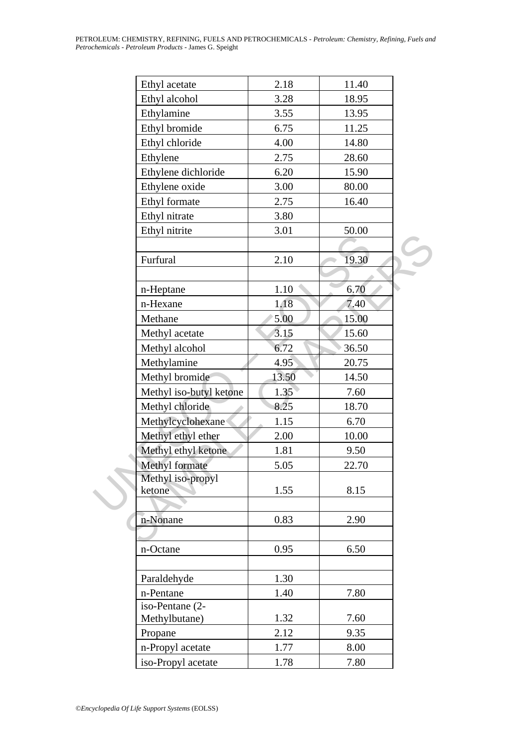| Ethyl acetate           | 2.18  | 11.40 |  |
|-------------------------|-------|-------|--|
| Ethyl alcohol           | 3.28  | 18.95 |  |
| Ethylamine              | 3.55  | 13.95 |  |
| Ethyl bromide           | 6.75  | 11.25 |  |
| Ethyl chloride          | 4.00  | 14.80 |  |
| Ethylene                | 2.75  | 28.60 |  |
| Ethylene dichloride     | 6.20  | 15.90 |  |
| Ethylene oxide          | 3.00  | 80.00 |  |
| Ethyl formate           | 2.75  | 16.40 |  |
| Ethyl nitrate           | 3.80  |       |  |
| Ethyl nitrite           | 3.01  | 50.00 |  |
|                         |       |       |  |
| Furfural                | 2.10  | 19.30 |  |
|                         |       |       |  |
| n-Heptane               | 1.10  | 6.70  |  |
| n-Hexane                | 1.18  | 7.40  |  |
| Methane                 | 5.00  | 15.00 |  |
| Methyl acetate          | 3.15  | 15.60 |  |
| Methyl alcohol          | 6.72  | 36.50 |  |
| Methylamine             | 4.95  | 20.75 |  |
| Methyl bromide          | 13.50 | 14.50 |  |
| Methyl iso-butyl ketone | 1.35  | 7.60  |  |
| Methyl chloride         | 8.25  | 18.70 |  |
| Methylcyclohexane       | 1.15  | 6.70  |  |
| Methyl ethyl ether      | 2.00  | 10.00 |  |
| Methyl ethyl ketone     | 1.81  | 9.50  |  |
| Methyl formate          | 5.05  | 22.70 |  |
| Methyl iso-propyl       |       |       |  |
| ketone                  | 1.55  | 8.15  |  |
|                         |       |       |  |
| n-Nonane                | 0.83  | 2.90  |  |
|                         |       |       |  |
| n-Octane                | 0.95  | 6.50  |  |
| Paraldehyde             | 1.30  |       |  |
| n-Pentane               | 1.40  | 7.80  |  |
| iso-Pentane (2-         |       |       |  |
| Methylbutane)           | 1.32  | 7.60  |  |
| Propane                 | 2.12  | 9.35  |  |
| n-Propyl acetate        | 1.77  | 8.00  |  |
| iso-Propyl acetate      | 1.78  | 7.80  |  |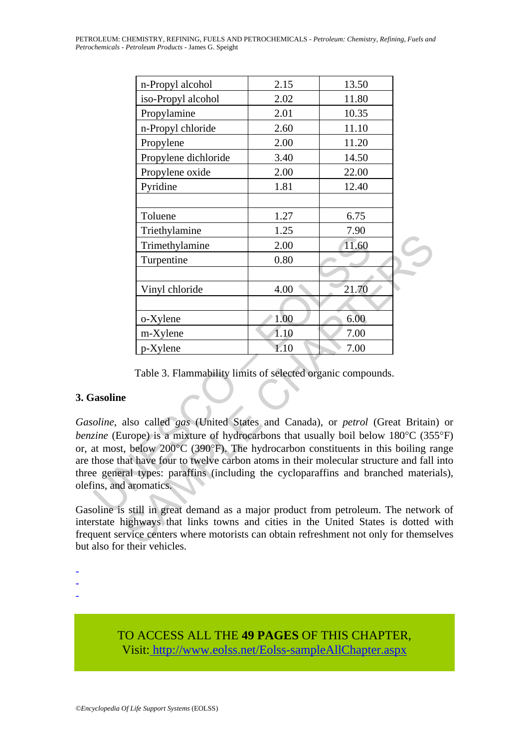|                     | n-Propyl alcohol                                                                                                                                                                                                                                                                                                                    | 2.15 | 13.50 |  |
|---------------------|-------------------------------------------------------------------------------------------------------------------------------------------------------------------------------------------------------------------------------------------------------------------------------------------------------------------------------------|------|-------|--|
|                     | iso-Propyl alcohol                                                                                                                                                                                                                                                                                                                  | 2.02 | 11.80 |  |
|                     | Propylamine                                                                                                                                                                                                                                                                                                                         | 2.01 | 10.35 |  |
|                     | n-Propyl chloride                                                                                                                                                                                                                                                                                                                   | 2.60 | 11.10 |  |
|                     | Propylene                                                                                                                                                                                                                                                                                                                           | 2.00 | 11.20 |  |
|                     | Propylene dichloride                                                                                                                                                                                                                                                                                                                | 3.40 | 14.50 |  |
|                     | Propylene oxide                                                                                                                                                                                                                                                                                                                     | 2.00 | 22.00 |  |
|                     | Pyridine                                                                                                                                                                                                                                                                                                                            | 1.81 | 12.40 |  |
|                     |                                                                                                                                                                                                                                                                                                                                     |      |       |  |
|                     | Toluene                                                                                                                                                                                                                                                                                                                             | 1.27 | 6.75  |  |
|                     | Triethylamine                                                                                                                                                                                                                                                                                                                       | 1.25 | 7.90  |  |
|                     | Trimethylamine                                                                                                                                                                                                                                                                                                                      | 2.00 | 11.60 |  |
|                     | Turpentine                                                                                                                                                                                                                                                                                                                          | 0.80 |       |  |
|                     |                                                                                                                                                                                                                                                                                                                                     |      |       |  |
|                     | Vinyl chloride                                                                                                                                                                                                                                                                                                                      | 4.00 | 21.70 |  |
|                     |                                                                                                                                                                                                                                                                                                                                     |      |       |  |
|                     | o-Xylene                                                                                                                                                                                                                                                                                                                            | 1.00 | 6.00  |  |
|                     | m-Xylene                                                                                                                                                                                                                                                                                                                            | 1.10 | 7.00  |  |
|                     | p-Xylene                                                                                                                                                                                                                                                                                                                            | 1.10 | 7.00  |  |
| asoline             | Table 3. Flammability limits of selected organic compounds.<br>oline, also called gas (United States and Canada), or petrol (Great Britain                                                                                                                                                                                          |      |       |  |
| ins, and aromatics. | zine (Europe) is a mixture of hydrocarbons that usually boil below 180°C (35:<br>at most, below 200°C (390°F). The hydrocarbon constituents in this boiling ra<br>those that have four to twelve carbon atoms in their molecular structure and fall<br>e general types: paraffins (including the cycloparaffins and branched materi |      |       |  |
|                     | oline is still in great demand as a major product from petroleum. The networ<br>rstate highways that links towns and cities in the United States is dotted<br>uent service centers where motorists can obtain refreshment not only for themse<br>والمنطور ويتمطه ومراء                                                              |      |       |  |

## **3. Gasoline**

*Gasoline*, also called *gas* (United States and Canada), or *petrol* (Great Britain) or *benzine* (Europe) is a mixture of hydrocarbons that usually boil below 180<sup>o</sup>C (355<sup>o</sup>F) or, at most, below 200°C (390°F). The hydrocarbon constituents in this boiling range are those that have four to twelve carbon atoms in their molecular structure and fall into three general types: paraffins (including the cycloparaffins and branched materials), olefins, and aromatics.

Gasoline is still in great demand as a major product from petroleum. The network of interstate highways that links towns and cities in the United States is dotted with frequent service centers where motorists can obtain refreshment not only for themselves but also for their vehicles.

-

-

-

TO ACCESS ALL THE **49 PAGES** OF THIS CHAPTER, Visit[: http://www.eolss.net/Eolss-sampleAllChapter.aspx](https://www.eolss.net/ebooklib/sc_cart.aspx?File=E6-186-05)